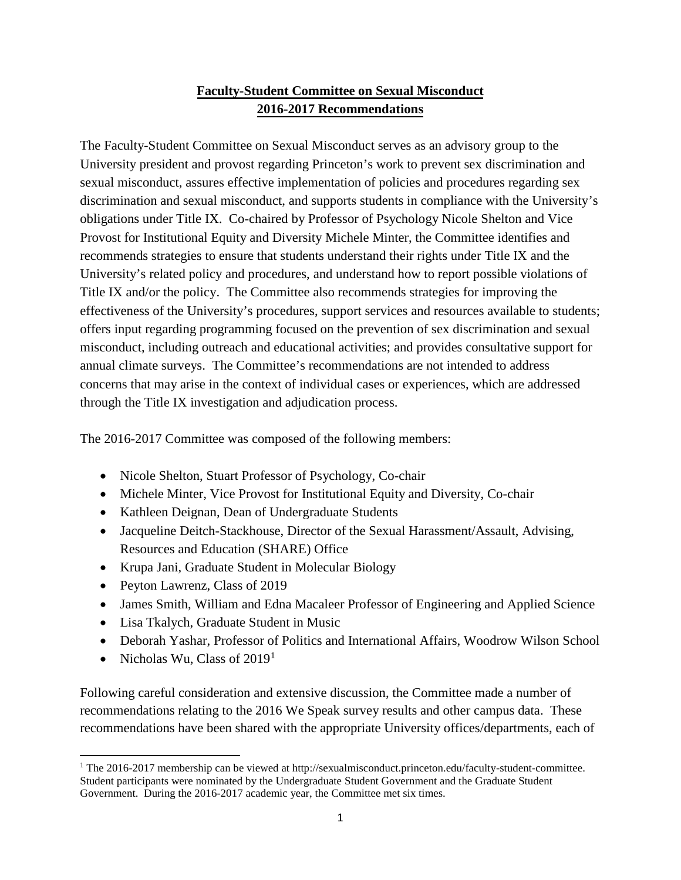## **Faculty-Student Committee on Sexual Misconduct 2016-2017 Recommendations**

 The Faculty-Student Committee on Sexual Misconduct serves as an advisory group to the recommends strategies to ensure that students understand their rights under Title IX and the Title IX and/or the policy. The Committee also recommends strategies for improving the annual climate surveys. The Committee's recommendations are not intended to address through the Title IX investigation and adjudication process. University president and provost regarding Princeton's work to prevent sex discrimination and sexual misconduct, assures effective implementation of policies and procedures regarding sex discrimination and sexual misconduct, and supports students in compliance with the University's obligations under Title IX. Co-chaired by Professor of Psychology Nicole Shelton and Vice Provost for Institutional Equity and Diversity Michele Minter, the Committee identifies and University's related policy and procedures, and understand how to report possible violations of effectiveness of the University's procedures, support services and resources available to students; offers input regarding programming focused on the prevention of sex discrimination and sexual misconduct, including outreach and educational activities; and provides consultative support for concerns that may arise in the context of individual cases or experiences, which are addressed

The 2016-2017 Committee was composed of the following members:

- Nicole Shelton, Stuart Professor of Psychology, Co-chair
- Michele Minter, Vice Provost for Institutional Equity and Diversity, Co-chair
- Kathleen Deignan, Dean of Undergraduate Students
- Jacqueline Deitch-Stackhouse, Director of the Sexual Harassment/Assault, Advising, Resources and Education (SHARE) Office
- Krupa Jani, Graduate Student in Molecular Biology
- Peyton Lawrenz, Class of 2019
- James Smith, William and Edna Macaleer Professor of Engineering and Applied Science
- Lisa Tkalych, Graduate Student in Music
- Deborah Yashar, Professor of Politics and International Affairs, Woodrow Wilson School
- Nicholas Wu, Class of  $2019<sup>1</sup>$  $2019<sup>1</sup>$  $2019<sup>1</sup>$

 $\overline{\phantom{a}}$ 

Following careful consideration and extensive discussion, the Committee made a number of recommendations relating to the 2016 We Speak survey results and other campus data. These recommendations have been shared with the appropriate University offices/departments, each of

<span id="page-0-0"></span> Government. During the 2016-2017 academic year, the Committee met six times. 1 The 2016-2017 membership can be viewed at http://sexualmisconduct.princeton.edu/faculty-student-committee. Student participants were nominated by the Undergraduate Student Government and the Graduate Student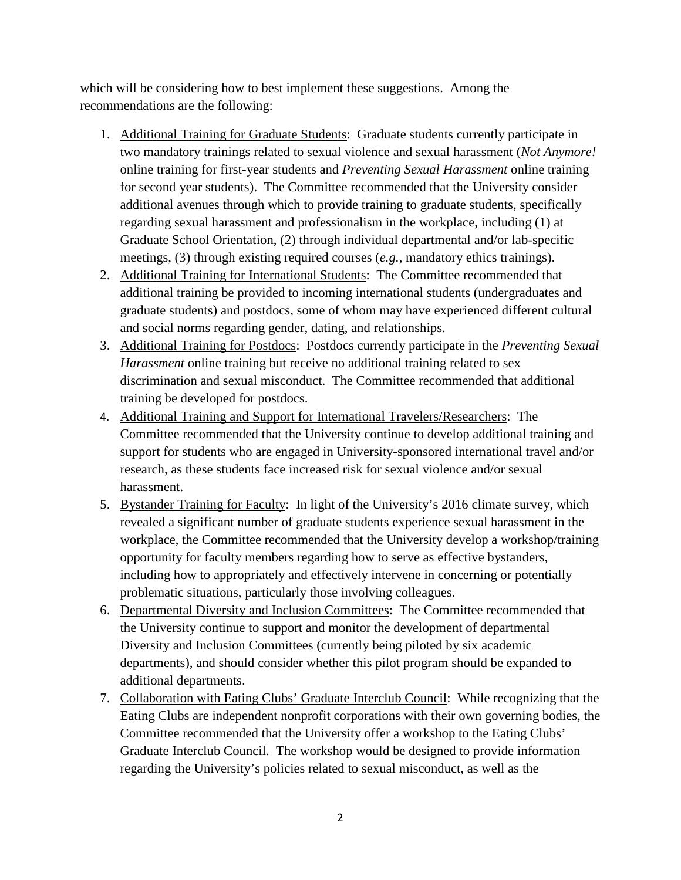which will be considering how to best implement these suggestions. Among the recommendations are the following:

- additional avenues through which to provide training to graduate students, specifically 1. Additional Training for Graduate Students: Graduate students currently participate in two mandatory trainings related to sexual violence and sexual harassment (*Not Anymore!*  online training for first-year students and *Preventing Sexual Harassment* online training for second year students). The Committee recommended that the University consider regarding sexual harassment and professionalism in the workplace, including (1) at Graduate School Orientation, (2) through individual departmental and/or lab-specific meetings, (3) through existing required courses (*e.g.*, mandatory ethics trainings).
- 2. Additional Training for International Students: The Committee recommended that additional training be provided to incoming international students (undergraduates and graduate students) and postdocs, some of whom may have experienced different cultural and social norms regarding gender, dating, and relationships.
- training be developed for postdocs. 3. Additional Training for Postdocs: Postdocs currently participate in the *Preventing Sexual Harassment* online training but receive no additional training related to sex discrimination and sexual misconduct. The Committee recommended that additional
- 4. Additional Training and Support for International Travelers/Researchers: The Committee recommended that the University continue to develop additional training and support for students who are engaged in University-sponsored international travel and/or research, as these students face increased risk for sexual violence and/or sexual harassment.
- opportunity for faculty members regarding how to serve as effective bystanders, 5. Bystander Training for Faculty: In light of the University's 2016 climate survey, which revealed a significant number of graduate students experience sexual harassment in the workplace, the Committee recommended that the University develop a workshop/training including how to appropriately and effectively intervene in concerning or potentially problematic situations, particularly those involving colleagues.
- 6. Departmental Diversity and Inclusion Committees: The Committee recommended that Diversity and Inclusion Committees (currently being piloted by six academic the University continue to support and monitor the development of departmental departments), and should consider whether this pilot program should be expanded to additional departments.
- 7. Collaboration with Eating Clubs' Graduate Interclub Council: While recognizing that the Graduate Interclub Council. The workshop would be designed to provide information regarding the University's policies related to sexual misconduct, as well as the Eating Clubs are independent nonprofit corporations with their own governing bodies, the Committee recommended that the University offer a workshop to the Eating Clubs'